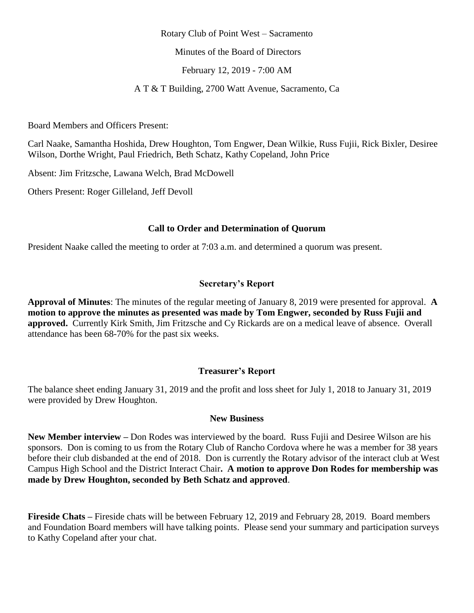#### Rotary Club of Point West – Sacramento

Minutes of the Board of Directors

February 12, 2019 - 7:00 AM

A T & T Building, 2700 Watt Avenue, Sacramento, Ca

Board Members and Officers Present:

Carl Naake, Samantha Hoshida, Drew Houghton, Tom Engwer, Dean Wilkie, Russ Fujii, Rick Bixler, Desiree Wilson, Dorthe Wright, Paul Friedrich, Beth Schatz, Kathy Copeland, John Price

Absent: Jim Fritzsche, Lawana Welch, Brad McDowell

Others Present: Roger Gilleland, Jeff Devoll

## **Call to Order and Determination of Quorum**

President Naake called the meeting to order at 7:03 a.m. and determined a quorum was present.

## **Secretary's Report**

**Approval of Minutes**: The minutes of the regular meeting of January 8, 2019 were presented for approval. **A motion to approve the minutes as presented was made by Tom Engwer, seconded by Russ Fujii and approved.** Currently Kirk Smith, Jim Fritzsche and Cy Rickards are on a medical leave of absence. Overall attendance has been 68-70% for the past six weeks.

## **Treasurer's Report**

The balance sheet ending January 31, 2019 and the profit and loss sheet for July 1, 2018 to January 31, 2019 were provided by Drew Houghton.

#### **New Business**

**New Member interview –** Don Rodes was interviewed by the board. Russ Fujii and Desiree Wilson are his sponsors. Don is coming to us from the Rotary Club of Rancho Cordova where he was a member for 38 years before their club disbanded at the end of 2018. Don is currently the Rotary advisor of the interact club at West Campus High School and the District Interact Chair**. A motion to approve Don Rodes for membership was made by Drew Houghton, seconded by Beth Schatz and approved**.

**Fireside Chats –** Fireside chats will be between February 12, 2019 and February 28, 2019. Board members and Foundation Board members will have talking points. Please send your summary and participation surveys to Kathy Copeland after your chat.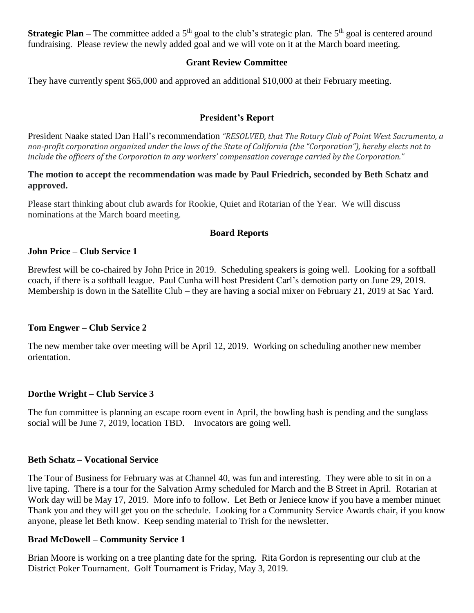**Strategic Plan** – The committee added a 5<sup>th</sup> goal to the club's strategic plan. The 5<sup>th</sup> goal is centered around fundraising. Please review the newly added goal and we will vote on it at the March board meeting.

# **Grant Review Committee**

They have currently spent \$65,000 and approved an additional \$10,000 at their February meeting.

# **President's Report**

President Naake stated Dan Hall's recommendation *"RESOLVED, that The Rotary Club of Point West Sacramento, a non-profit corporation organized under the laws of the State of California (the "Corporation"), hereby elects not to include the officers of the Corporation in any workers' compensation coverage carried by the Corporation."* 

**The motion to accept the recommendation was made by Paul Friedrich, seconded by Beth Schatz and approved.**

Please start thinking about club awards for Rookie, Quiet and Rotarian of the Year. We will discuss nominations at the March board meeting.

#### **Board Reports**

## **John Price – Club Service 1**

Brewfest will be co-chaired by John Price in 2019. Scheduling speakers is going well. Looking for a softball coach, if there is a softball league. Paul Cunha will host President Carl's demotion party on June 29, 2019. Membership is down in the Satellite Club – they are having a social mixer on February 21, 2019 at Sac Yard.

## **Tom Engwer – Club Service 2**

The new member take over meeting will be April 12, 2019. Working on scheduling another new member orientation.

### **Dorthe Wright – Club Service 3**

The fun committee is planning an escape room event in April, the bowling bash is pending and the sunglass social will be June 7, 2019, location TBD. Invocators are going well.

### **Beth Schatz – Vocational Service**

The Tour of Business for February was at Channel 40, was fun and interesting. They were able to sit in on a live taping. There is a tour for the Salvation Army scheduled for March and the B Street in April. Rotarian at Work day will be May 17, 2019. More info to follow. Let Beth or Jeniece know if you have a member minuet Thank you and they will get you on the schedule. Looking for a Community Service Awards chair, if you know anyone, please let Beth know. Keep sending material to Trish for the newsletter.

## **Brad McDowell – Community Service 1**

Brian Moore is working on a tree planting date for the spring. Rita Gordon is representing our club at the District Poker Tournament. Golf Tournament is Friday, May 3, 2019.